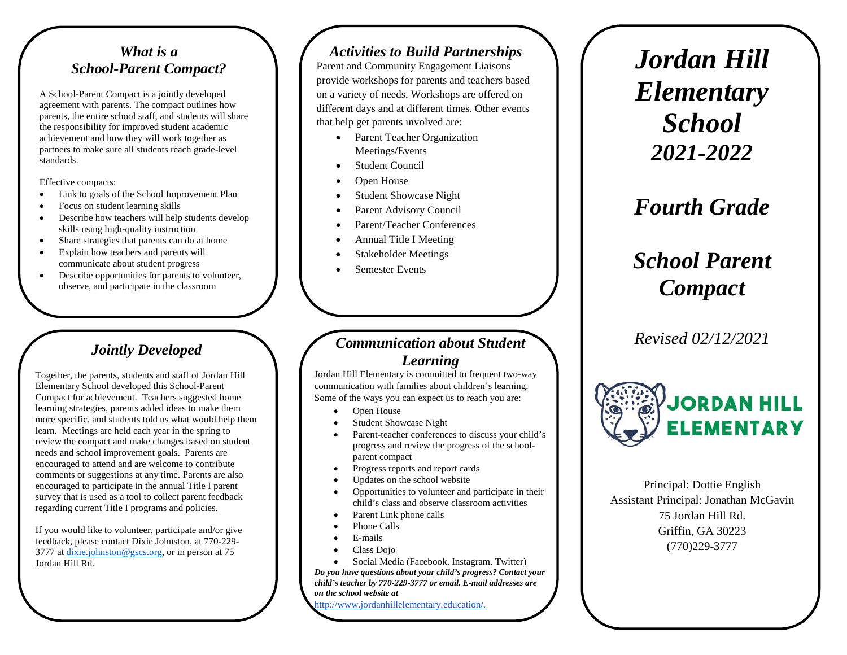#### *What is a School-Parent Compact?*

A School-Parent Compact is a jointly developed agreement with parents. The compact outlines how parents, the entire school staff, and students will share the responsibility for improved student academic achievement and how they will work together as partners to make sure all students reach grade-level standards.

Effective compacts:

- Link to goals of the School Improvement Plan
- Focus on student learning skills
- Describe how teachers will help students develop skills using high-quality instruction
- Share strategies that parents can do at home
- Explain how teachers and parents will communicate about student progress
- Describe opportunities for parents to volunteer, observe, and participate in the classroom

### *Jointly Developed*

Together, the parents, students and staff of Jordan Hill Elementary School developed this School-Parent Compact for achievement. Teachers suggested home learning strategies, parents added ideas to make them more specific, and students told us what would help them learn. Meetings are held each year in the spring to review the compact and make changes based on student needs and school improvement goals. Parents are encouraged to attend and are welcome to contribute comments or suggestions at any time. Parents are also encouraged to participate in the annual Title I parent survey that is used as a tool to collect parent feedback regarding current Title I programs and policies.

If you would like to volunteer, participate and/or give feedback, please contact Dixie Johnston, at 770-229- 3777 at dixie.johnston@gscs.org, or in person at 75 Jordan Hill Rd.

#### *Activities to Build Partnerships*

Parent and Community Engagement Liaisons provide workshops for parents and teachers based on a variety of needs. Workshops are offered on different days and at different times. Other events that help get parents involved are:

- Parent Teacher Organization Meetings/Events
- **Student Council**
- Open House
- Student Showcase Night
- Parent Advisory Council
- Parent/Teacher Conferences
- Annual Title I Meeting
- Stakeholder Meetings
- Semester Events

#### *Communication about Student Learning*

Jordan Hill Elementary is committed to frequent two-way communication with families about children's learning. Some of the ways you can expect us to reach you are:

- Open House
- Student Showcase Night
- Parent-teacher conferences to discuss your child's progress and review the progress of the schoolparent compact
- Progress reports and report cards
- Updates on the school website
- Opportunities to volunteer and participate in their child's class and observe classroom activities
- Parent Link phone calls
- Phone Calls
- E-mails
- Class Dojo
- Social Media (Facebook, Instagram, Twitter)

*Do you have questions about your child's progress? Contact your child's teacher by 770-229-3777 or email. E-mail addresses are on the school website at* 

http://www.jordanhillelementary.education/.

*Jordan Hill Elementary School 2021-2022*

*Fourth Grade*

# *School Parent Compact*

*Revised 02/12/2021*



Principal: Dottie English Assistant Principal: Jonathan McGavin 75 Jordan Hill Rd. Griffin, GA 30223 (770)229-3777